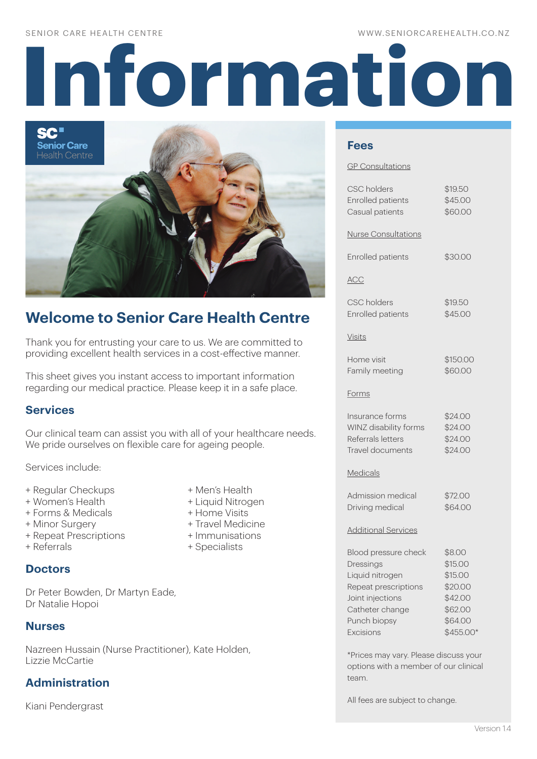#### WWW.SENIORCAREHEALTH.CO.NZ

# **Information**

SC" **Senior Care Health Centre** 

# **Welcome to Senior Care Health Centre**

Thank you for entrusting your care to us. We are committed to providing excellent health services in a cost-effective manner.

This sheet gives you instant access to important information regarding our medical practice. Please keep it in a safe place.

## **Services**

Our clinical team can assist you with all of your healthcare needs. We pride ourselves on flexible care for ageing people.

Services include:

- + Regular Checkups + Men's Health
- + Women's Health + Liquid Nitrogen
- + Forms & Medicals + Home Visits
- 
- + Repeat Prescriptions + Immunisations
- 

#### **Doctors**

Dr Peter Bowden, Dr Martyn Eade, Dr Natalie Hopoi

## **Nurses**

Nazreen Hussain (Nurse Practitioner), Kate Holden, Lizzie McCartie

## **Administration**

Kiani Pendergrast

- 
- 
- 
- + Minor Surgery + Travel Medicine
	-
- + Referrals + Specialists

#### **Fees**

#### GP Consultations

| <b>CSC</b> holders<br><b>Enrolled patients</b><br>Casual patients                                                                                | \$19.50<br>\$45.00<br>\$60.00                                                         |
|--------------------------------------------------------------------------------------------------------------------------------------------------|---------------------------------------------------------------------------------------|
| <b>Nurse Consultations</b>                                                                                                                       |                                                                                       |
| Enrolled patients                                                                                                                                | \$30.00                                                                               |
| <b>ACC</b>                                                                                                                                       |                                                                                       |
| CSC holders<br><b>Enrolled patients</b>                                                                                                          | \$19.50<br>\$45.00                                                                    |
| <b>Visits</b>                                                                                                                                    |                                                                                       |
| Home visit<br>Family meeting                                                                                                                     | \$150.00<br>\$60.00                                                                   |
| <u>Forms</u>                                                                                                                                     |                                                                                       |
| Insurance forms<br>WINZ disability forms<br>Referrals letters<br>Travel documents                                                                | \$24.00<br>\$24.00<br>\$24.00<br>\$24.00                                              |
| Medicals                                                                                                                                         |                                                                                       |
| Admission medical<br>Driving medical                                                                                                             | \$72.00<br>\$64.00                                                                    |
| <b>Additional Services</b>                                                                                                                       |                                                                                       |
| Blood pressure check<br>Dressings<br>Liquid nitrogen<br>Repeat prescriptions<br>Joint injections<br>Catheter change<br>Punch biopsy<br>Excisions | \$8.00<br>\$15.00<br>\$15.00<br>\$20.00<br>\$42.00<br>\$62.00<br>\$64.00<br>\$455.00* |

\*Prices may vary. Please discuss your options with a member of our clinical team.

All fees are subject to change.